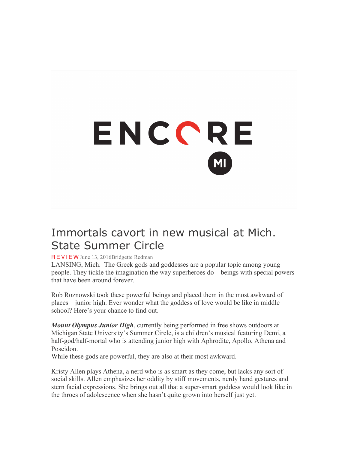## ENCCRE

## Immortals cavort in new musical at Mich. State Summer Circle

## REVIEW June 13, 2016Bridgette Redman

LANSING, Mich.–The Greek gods and goddesses are a popular topic among young people. They tickle the imagination the way superheroes do—beings with special powers that have been around forever.

Rob Roznowski took these powerful beings and placed them in the most awkward of places—junior high. Ever wonder what the goddess of love would be like in middle school? Here's your chance to find out.

*Mount Olympus Junior High*, currently being performed in free shows outdoors at Michigan State University's Summer Circle, is a children's musical featuring Demi, a half-god/half-mortal who is attending junior high with Aphrodite, Apollo, Athena and Poseidon.

While these gods are powerful, they are also at their most awkward.

Kristy Allen plays Athena, a nerd who is as smart as they come, but lacks any sort of social skills. Allen emphasizes her oddity by stiff movements, nerdy hand gestures and stern facial expressions. She brings out all that a super-smart goddess would look like in the throes of adolescence when she hasn't quite grown into herself just yet.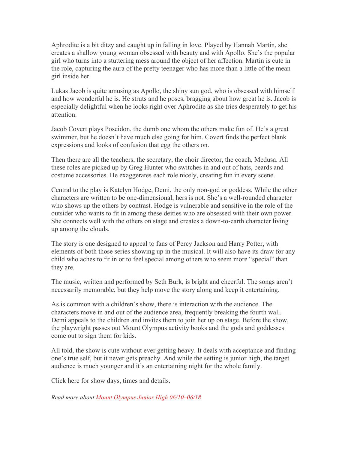Aphrodite is a bit ditzy and caught up in falling in love. Played by Hannah Martin, she creates a shallow young woman obsessed with beauty and with Apollo. She's the popular girl who turns into a stuttering mess around the object of her affection. Martin is cute in the role, capturing the aura of the pretty teenager who has more than a little of the mean girl inside her.

Lukas Jacob is quite amusing as Apollo, the shiny sun god, who is obsessed with himself and how wonderful he is. He struts and he poses, bragging about how great he is. Jacob is especially delightful when he looks right over Aphrodite as she tries desperately to get his attention.

Jacob Covert plays Poseidon, the dumb one whom the others make fun of. He's a great swimmer, but he doesn't have much else going for him. Covert finds the perfect blank expressions and looks of confusion that egg the others on.

Then there are all the teachers, the secretary, the choir director, the coach, Medusa. All these roles are picked up by Greg Hunter who switches in and out of hats, beards and costume accessories. He exaggerates each role nicely, creating fun in every scene.

Central to the play is Katelyn Hodge, Demi, the only non-god or goddess. While the other characters are written to be one-dimensional, hers is not. She's a well-rounded character who shows up the others by contrast. Hodge is vulnerable and sensitive in the role of the outsider who wants to fit in among these deities who are obsessed with their own power. She connects well with the others on stage and creates a down-to-earth character living up among the clouds.

The story is one designed to appeal to fans of Percy Jackson and Harry Potter, with elements of both those series showing up in the musical. It will also have its draw for any child who aches to fit in or to feel special among others who seem more "special" than they are.

The music, written and performed by Seth Burk, is bright and cheerful. The songs aren't necessarily memorable, but they help move the story along and keep it entertaining.

As is common with a children's show, there is interaction with the audience. The characters move in and out of the audience area, frequently breaking the fourth wall. Demi appeals to the children and invites them to join her up on stage. Before the show, the playwright passes out Mount Olympus activity books and the gods and goddesses come out to sign them for kids.

All told, the show is cute without ever getting heavy. It deals with acceptance and finding one's true self, but it never gets preachy. And while the setting is junior high, the target audience is much younger and it's an entertaining night for the whole family.

Click here for show days, times and details.

*Read more about Mount Olympus Junior High 06/10–06/18*